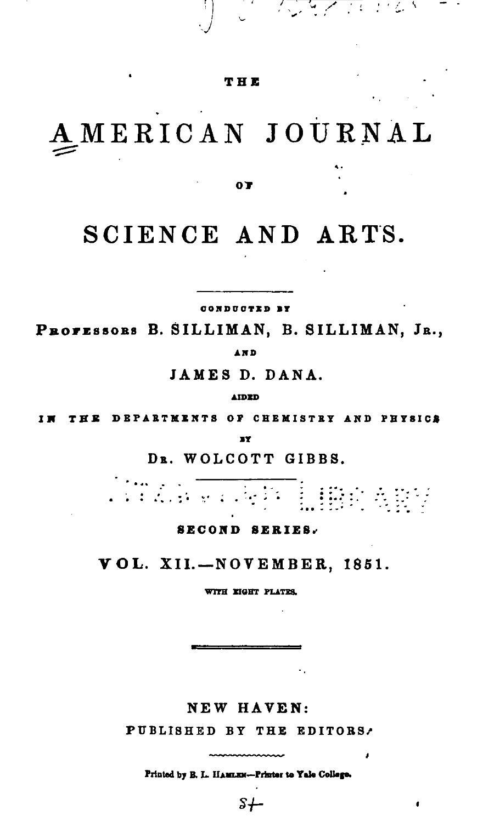## THE

the design of the direction

## AMERICAN JOURNAL

0T

## SCIENCE AND ARTS.

CONDUCTED BY

PROFESSORS B. SILLIMAN, B. SILLIMAN, JR., **AND** 

JAMES D. DANA.

**AIDED** 

THE DEPARTMENTS OF CHEMISTRY AND PHYSICS

3Y

DR. WOLCOTT GIBBS.

i de la parte de la parte de la parte de la parte de la parte de la parte de la parte de la parte de la parte<br>La parte de la parte de la parte de la parte de la parte de la parte de la parte de la parte de la parte de la ilme any

**SECOND SERIES.** 

VOL. XII.-NOVEMBER, 1851.

WITH EIGHT PLATES.

NEW HAVEN:

PUBLISHED BY THE EDITORS.

Printed by B. L. HAMLEN-Printer to Yale College.

 $s+$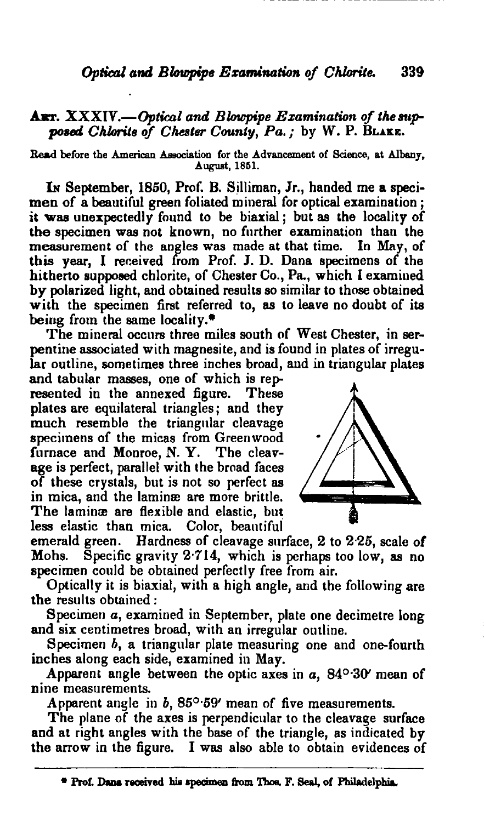## ART. XXXIV.-Optical and *Blowpipe Examination* of the supposed Chlorite of Chester County, Pa.; by W. P. BLAKE.

Read before the American Association for the Advancement of Science, at Albany, August, 1861.

IN September, 1850, Prof. B. Silliman, Jr., handed me a specimen of a beautiful green foliated mineral for optical examination; it was unexpectedly found to be biaxial; but as the locality of the specimen was not known, no further examination than the measurement of the angles was made at that time. In May, of measurement of the angles was made at that time. this year, I received from Prof. J. D. Dana specimens of the hitherto supposed chlorite, of Chester Co., Pa., which I examined by polarized light, and obtained results so similar to those obtained with the specimen first referred to, as to leave no doubt of its being from the same locality. $*$ 

The mineral occurs three miles south of West Chester, in serpentine associated with magnesite, and is found in plates of irregular outline, sometimes three inches broad, and in triangular plates

and tabular masses, one of which is represented in the annexed figure. These plates are equilateral triangles; and they much resemble the triangular cleavage specimens of the micas from Greenwood furnace and Monroe, N. Y. The cleavage is perfect, parallel with the broad faces of these crystals, but is not so perfect as in mica, and the laminæ are more brittle. The laminæ are flexible and elastic, but less elastic than mica. Color, beautifui



emerald green. Hardness of cleavage surface, 2 to 2'25, scale of Mohs. Specific gravity 2'714, which is perhaps too low, as no specimen could be obtained perfectly free from air.

Optically it is biaxial, with a high angle, and the following are the results obtained:

Specimen *a*, examined in September, plate one decimetre long and six centimetres broad, with an irregular outline.

Specimen  $b$ , a triangular plate measuring one and one-fourth inches along each side, examined in May.

Apparent angle between the optic axes in  $a$ ,  $84^{\circ}$ -30 $\prime$  mean of nine measurements.

Apparent angle in  $b$ ,  $85^{\circ}$ -59' mean of five measurements.

The plane of the axes is perpendicular to the cleavage surface and at right angles with the base of the triangle, as indicated by the arrow in the figure. I was also able to obtain evidences of

<sup>\*</sup> Prof. Dana received his specimen from Thos. F. Seal, of Philadelphia.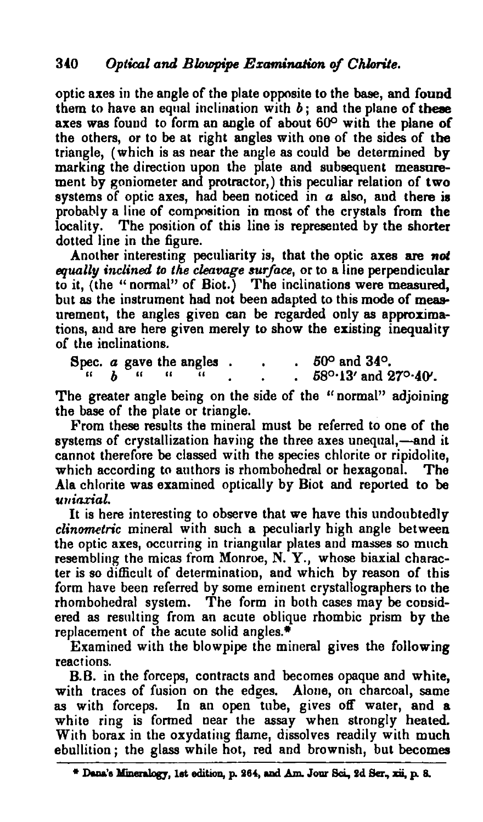optic axes in the angle of the plate opposite to the base, and found them to have an equal inclination with  $b$ ; and the plane of these axes was found to form an angle of about  $60^\circ$  with the plane of the others, or to be at right angles with one of the sides of the triangle, (which is as near the angle as could be determined *by* marking the direction upon the plate and subsequent measurement by goniometer and protractor,) this peculiar relation of two systems of optic axes, had been noticed in a also, and there is probably a line of composition in most of the crystals from the locality. The position of this line is represented by the shorter dotted line in the figure.

Another interesting peculiarity is, that the optic axes are not *equally inclined to the cleavage surface,* or to a line perpendicular to it, (the "normal" of Biot.) The inclinations were measured, but as the instrument had not been adapted to this mode of measurement, the angles given can be regarded only as approximations, and are here given merely to show the existing inequality of the inclinations.

Spec. *a* gave the angles . . . 50<sup>o</sup> and 34<sup>o</sup>.<br>
" *b* " " " . . . 58<sup>o</sup>·13' and 27<sup>o</sup>·40'.

The greater angle being on the side of the "normal" adjoining the base of the plate or triangle.

From these results the mineral must be referred to one of the systems of crystallization having the three axes unequal,-and it cannot therefore be classed with the species chlorite or ripidolite, which according to authors is rhombohedral or hexagonal. The Ala chlorite was examined optically by Biot and reported to be  $$ 

It is here interesting to observe that we have this undoubtedly *clinometric* mineral with such a peculiarly high angle between the optic axes, occurring in triangular plates and masses so much resembling the micas from Monroe, N. Y., whose biaxial character is so difficult of determination, and which by reason of this form have been referred by some eminent crystallographers to the rhombohedral system. The form in both cases may be considered as resulting from an acute oblique rhombic prism by the replacement of the acute solid angles. $*$ 

Examined with the blowpipe the mineral gives the following reactions.

B.B. in the forceps, contracts and becomes opaque and white, with traces of fusion on the edges. Alone, on charcoal, same as with forceps. In an open tube, gives off water, and a white ring is formed near the assay when strongly heated. With borax in the oxydating flame, dissolves readily with much ebullition; the glass while hot, red and brownish, but becomes

<sup>\*</sup> Dana's Mineralogy, 1st edition, p. 264, and Am. Jour Sci., 2d Ser., xii, p. 8.